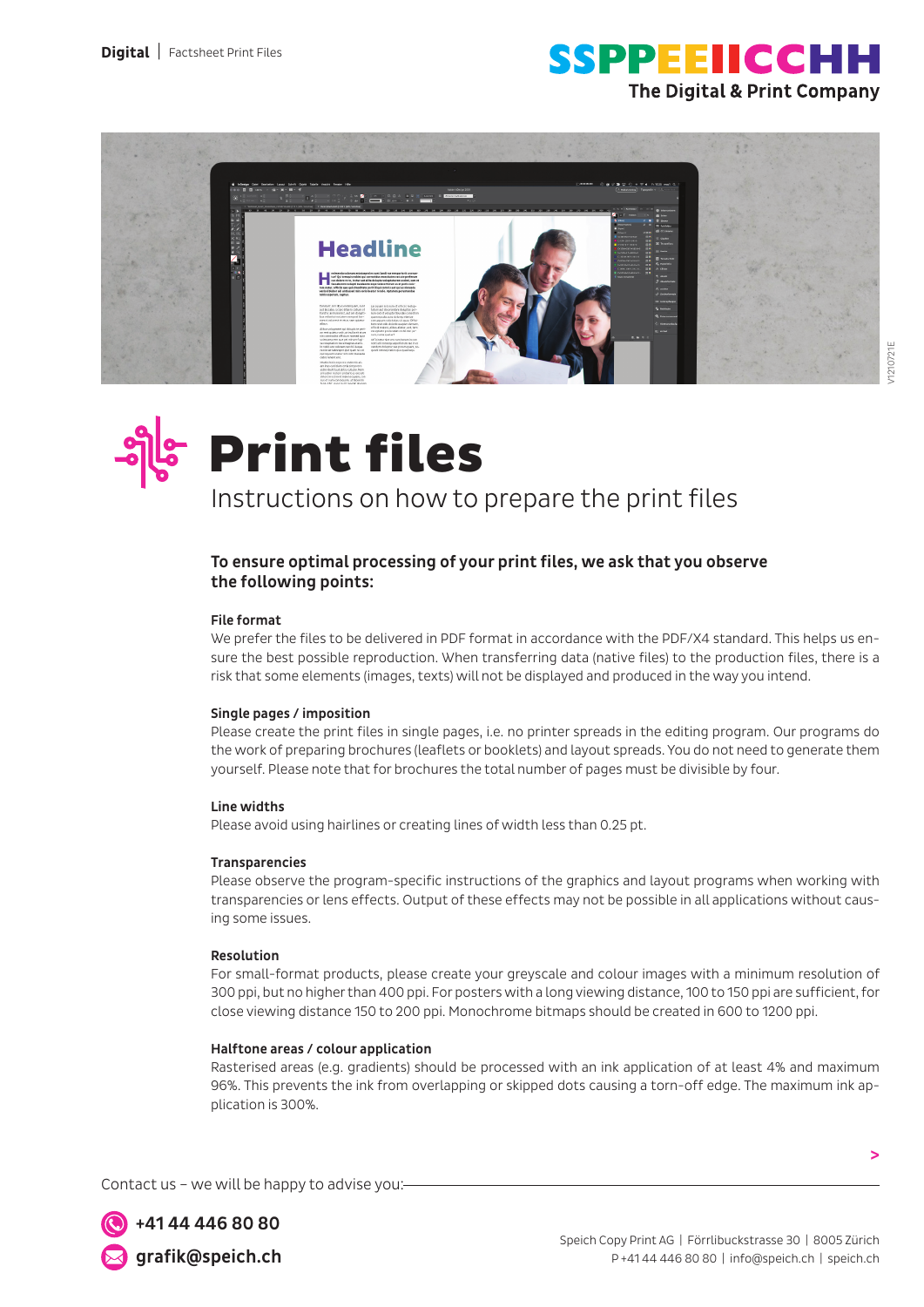





# Print files

Instructions on how to prepare the print files

### To ensure optimal processing of your print files, we ask that you observe the following points:

### File format

We prefer the files to be delivered in PDF format in accordance with the PDF/X4 standard. This helps us ensure the best possible reproduction. When transferring data (native files) to the production files, there is a risk that some elements (images, texts) will not be displayed and produced in the way you intend.

### Single pages / imposition

Please create the print files in single pages, i.e. no printer spreads in the editing program. Our programs do the work of preparing brochures (leaflets or booklets) and layout spreads. You do not need to generate them yourself. Please note that for brochures the total number of pages must be divisible by four.

### Line widths

Please avoid using hairlines or creating lines of width less than 0.25 pt.

### **Transparencies**

Please observe the program-specific instructions of the graphics and layout programs when working with transparencies or lens effects. Output of these effects may not be possible in all applications without causing some issues.

### Resolution

For small-format products, please create your greyscale and colour images with a minimum resolution of 300 ppi, but no higher than 400 ppi. For posters with a long viewing distance, 100 to 150 ppi are sufficient, for close viewing distance 150 to 200 ppi. Monochrome bitmaps should be created in 600 to 1200 ppi.

### Halftone areas / colour application

Rasterised areas (e.g. gradients) should be processed with an ink application of at least 4% and maximum 96%. This prevents the ink from overlapping or skipped dots causing a torn-off edge. The maximum ink application is 300%.

Contact us – we will be happy to advise you:

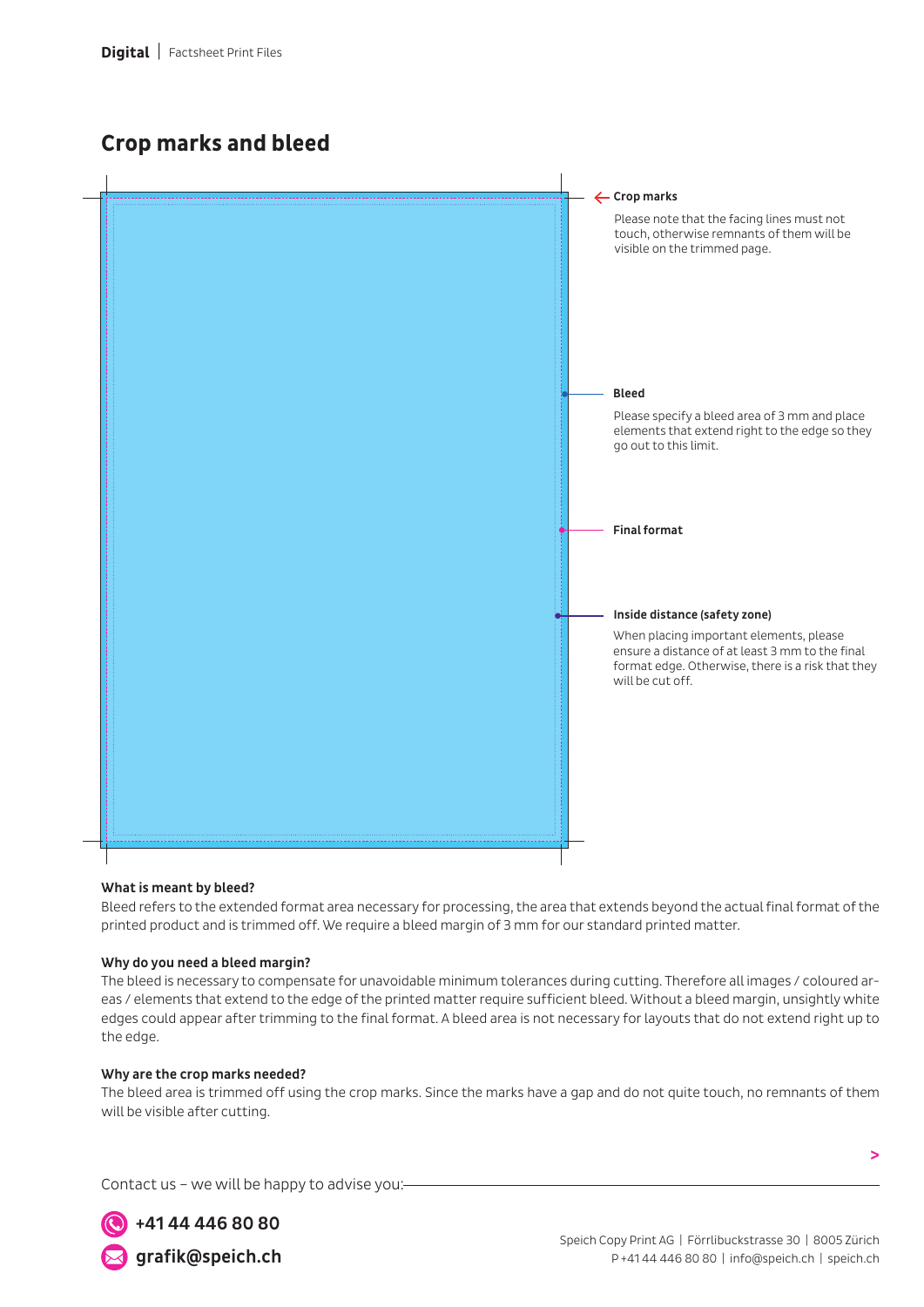### **Crop marks and bleed**



### What is meant by bleed?

Bleed refers to the extended format area necessary for processing, the area that extends beyond the actual final format of the printed product and is trimmed off. We require a bleed margin of 3 mm for our standard printed matter.

### Why do you need a bleed margin?

The bleed is necessary to compensate for unavoidable minimum tolerances during cutting. Therefore all images / coloured areas / elements that extend to the edge of the printed matter require sufficient bleed. Without a bleed margin, unsightly white edges could appear after trimming to the final format. A bleed area is not necessary for layouts that do not extend right up to the edge.

### Why are the crop marks needed?

The bleed area is trimmed off using the crop marks. Since the marks have a gap and do not quite touch, no remnants of them will be visible after cutting.

Contact us – we will be happy to advise you:



**>**